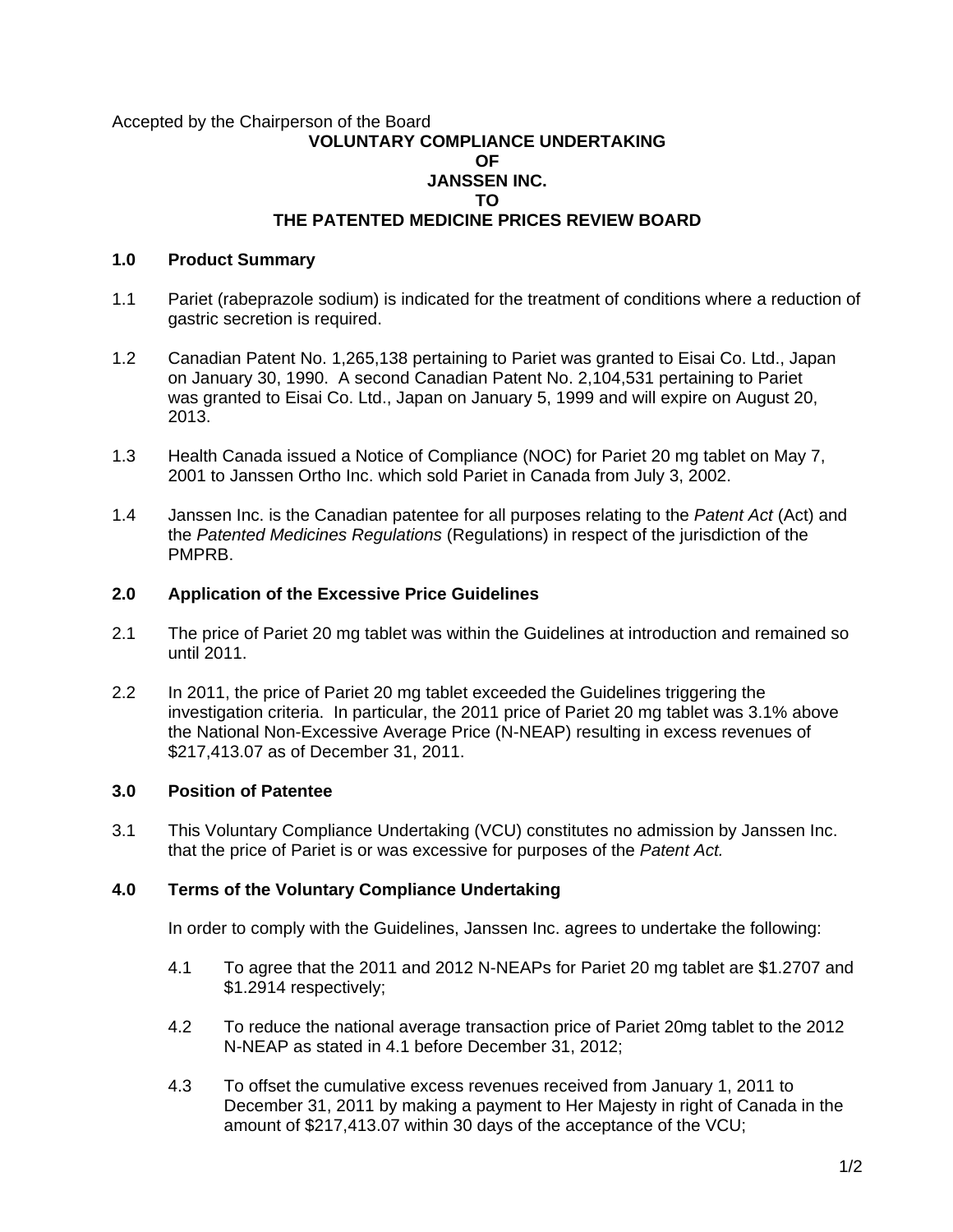#### Accepted by the Chairperson of the Board **VOLUNTARY COMPLIANCE UNDERTAKING OF JANSSEN INC. TO THE PATENTED MEDICINE PRICES REVIEW BOARD**

#### **1.0 Product Summary**

- 1.1 Pariet (rabeprazole sodium) is indicated for the treatment of conditions where a reduction of gastric secretion is required.
- 1.2 Canadian Patent No. 1,265,138 pertaining to Pariet was granted to Eisai Co. Ltd., Japan on January 30, 1990. A second Canadian Patent No. 2,104,531 pertaining to Pariet was granted to Eisai Co. Ltd., Japan on January 5, 1999 and will expire on August 20, 2013.
- 1.3 Health Canada issued a Notice of Compliance (NOC) for Pariet 20 mg tablet on May 7, 2001 to Janssen Ortho Inc. which sold Pariet in Canada from July 3, 2002.
- 1.4 Janssen Inc. is the Canadian patentee for all purposes relating to the *Patent Act* (Act) and the *Patented Medicines Regulations* (Regulations) in respect of the jurisdiction of the PMPRB.

## **2.0 Application of the Excessive Price Guidelines**

- 2.1 The price of Pariet 20 mg tablet was within the Guidelines at introduction and remained so until 2011.
- 2.2 In 2011, the price of Pariet 20 mg tablet exceeded the Guidelines triggering the investigation criteria. In particular, the 2011 price of Pariet 20 mg tablet was 3.1% above the National Non-Excessive Average Price (N-NEAP) resulting in excess revenues of \$217,413.07 as of December 31, 2011.

# **3.0 Position of Patentee**

3.1 This Voluntary Compliance Undertaking (VCU) constitutes no admission by Janssen Inc. that the price of Pariet is or was excessive for purposes of the *Patent Act.* 

## **4.0 Terms of the Voluntary Compliance Undertaking**

In order to comply with the Guidelines, Janssen Inc. agrees to undertake the following:

- 4.1 To agree that the 2011 and 2012 N-NEAPs for Pariet 20 mg tablet are \$1.2707 and \$1.2914 respectively;
- 4.2 To reduce the national average transaction price of Pariet 20mg tablet to the 2012 N-NEAP as stated in 4.1 before December 31, 2012;
- 4.3 To offset the cumulative excess revenues received from January 1, 2011 to December 31, 2011 by making a payment to Her Majesty in right of Canada in the amount of \$217,413.07 within 30 days of the acceptance of the VCU;